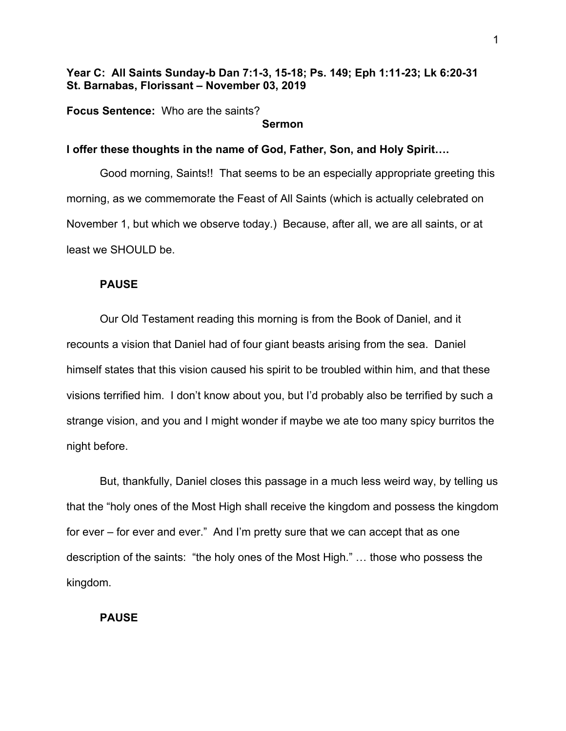# **Year C: All Saints Sunday-b Dan 7:1-3, 15-18; Ps. 149; Eph 1:11-23; Lk 6:20-31 St. Barnabas, Florissant – November 03, 2019**

**Focus Sentence:** Who are the saints?

#### **Sermon**

## **I offer these thoughts in the name of God, Father, Son, and Holy Spirit….**

Good morning, Saints!! That seems to be an especially appropriate greeting this morning, as we commemorate the Feast of All Saints (which is actually celebrated on November 1, but which we observe today.) Because, after all, we are all saints, or at least we SHOULD be.

### **PAUSE**

Our Old Testament reading this morning is from the Book of Daniel, and it recounts a vision that Daniel had of four giant beasts arising from the sea. Daniel himself states that this vision caused his spirit to be troubled within him, and that these visions terrified him. I don't know about you, but I'd probably also be terrified by such a strange vision, and you and I might wonder if maybe we ate too many spicy burritos the night before.

But, thankfully, Daniel closes this passage in a much less weird way, by telling us that the "holy ones of the Most High shall receive the kingdom and possess the kingdom for ever – for ever and ever." And I'm pretty sure that we can accept that as one description of the saints: "the holy ones of the Most High." … those who possess the kingdom.

## **PAUSE**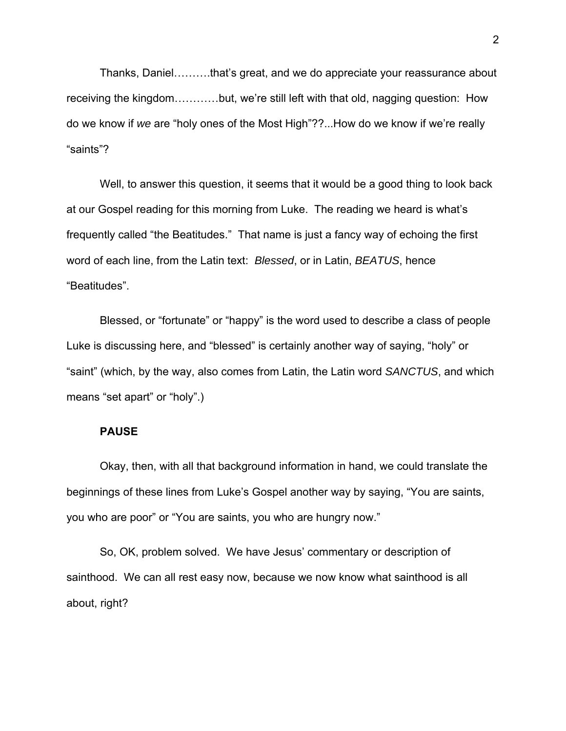Thanks, Daniel……….that's great, and we do appreciate your reassurance about receiving the kingdom…………but, we're still left with that old, nagging question: How do we know if *we* are "holy ones of the Most High"??...How do we know if we're really "saints"?

Well, to answer this question, it seems that it would be a good thing to look back at our Gospel reading for this morning from Luke. The reading we heard is what's frequently called "the Beatitudes." That name is just a fancy way of echoing the first word of each line, from the Latin text: *Blessed*, or in Latin, *BEATUS*, hence "Beatitudes".

Blessed, or "fortunate" or "happy" is the word used to describe a class of people Luke is discussing here, and "blessed" is certainly another way of saying, "holy" or "saint" (which, by the way, also comes from Latin, the Latin word *SANCTUS*, and which means "set apart" or "holy".)

## **PAUSE**

Okay, then, with all that background information in hand, we could translate the beginnings of these lines from Luke's Gospel another way by saying, "You are saints, you who are poor" or "You are saints, you who are hungry now."

So, OK, problem solved. We have Jesus' commentary or description of sainthood. We can all rest easy now, because we now know what sainthood is all about, right?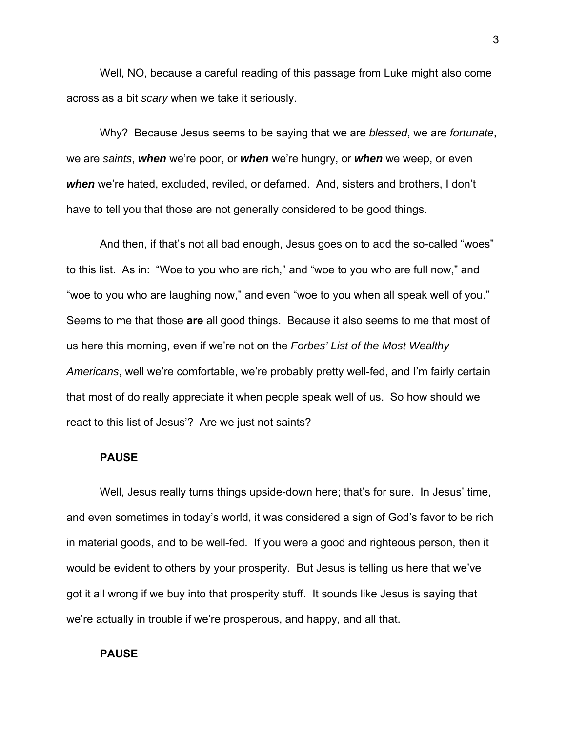Well, NO, because a careful reading of this passage from Luke might also come across as a bit *scary* when we take it seriously.

Why? Because Jesus seems to be saying that we are *blessed*, we are *fortunate*, we are *saints*, *when* we're poor, or *when* we're hungry, or *when* we weep, or even *when* we're hated, excluded, reviled, or defamed. And, sisters and brothers, I don't have to tell you that those are not generally considered to be good things.

And then, if that's not all bad enough, Jesus goes on to add the so-called "woes" to this list. As in: "Woe to you who are rich," and "woe to you who are full now," and "woe to you who are laughing now," and even "woe to you when all speak well of you." Seems to me that those **are** all good things. Because it also seems to me that most of us here this morning, even if we're not on the *Forbes' List of the Most Wealthy Americans*, well we're comfortable, we're probably pretty well-fed, and I'm fairly certain that most of do really appreciate it when people speak well of us. So how should we react to this list of Jesus'? Are we just not saints?

### **PAUSE**

Well, Jesus really turns things upside-down here; that's for sure. In Jesus' time, and even sometimes in today's world, it was considered a sign of God's favor to be rich in material goods, and to be well-fed. If you were a good and righteous person, then it would be evident to others by your prosperity. But Jesus is telling us here that we've got it all wrong if we buy into that prosperity stuff. It sounds like Jesus is saying that we're actually in trouble if we're prosperous, and happy, and all that.

#### **PAUSE**